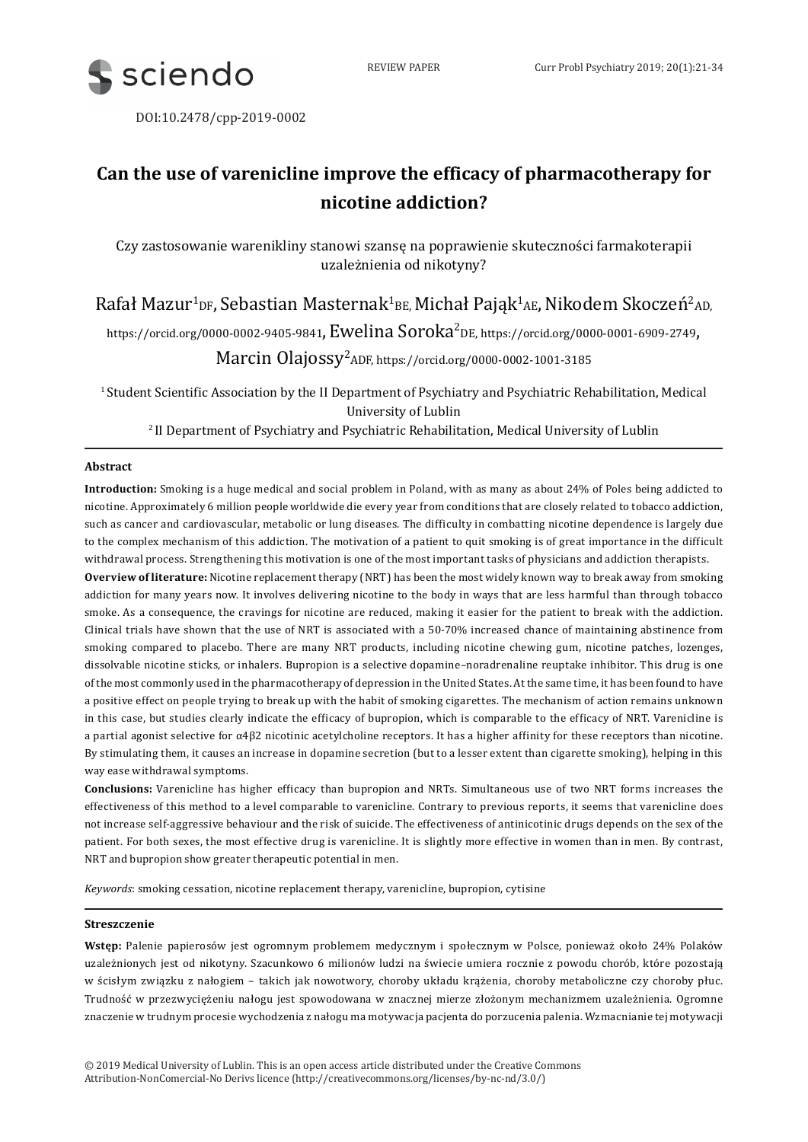

DOI:10.2478/cpp-2019-0002

# **Can the use of varenicline improve the efficacy of pharmacotherapy for nicotine addiction?**

Czy zastosowanie warenikliny stanowi szansę na poprawienie skuteczności farmakoterapii uzależnienia od nikotyny?

 $R$ afał Mazur $^1$ p $_{\rm F}$ , Sebastian Masternak $^1$ в $_{\rm E}$ , Michał Pająk $^1$ A $_{\rm E}$ , Nikodem Skoczeń $^2$ AD,

https://orcid.org/0000-0002-9405-9841**, Ewelina Soroka<sup>2</sup>DE**, https://orcid.org/0000-0001-6909-2749**,** 

Marcin Olajossy<sup>2</sup> ADF, https://orcid.org/0000-0002-1001-3185

<sup>1</sup> Student Scientific Association by the II Department of Psychiatry and Psychiatric Rehabilitation, Medical University of Lublin

<sup>2</sup>II Department of Psychiatry and Psychiatric Rehabilitation, Medical University of Lublin

# **Abstract**

**Introduction:** Smoking is a huge medical and social problem in Poland, with as many as about 24% of Poles being addicted to nicotine. Approximately 6 million people worldwide die every year from conditions that are closely related to tobacco addiction, such as cancer and cardiovascular, metabolic or lung diseases. The difficulty in combatting nicotine dependence is largely due to the complex mechanism of this addiction. The motivation of a patient to quit smoking is of great importance in the difficult withdrawal process. Strengthening this motivation is one of the most important tasks of physicians and addiction therapists.

**Overview of literature:** Nicotine replacement therapy (NRT) has been the most widely known way to break away from smoking addiction for many years now. It involves delivering nicotine to the body in ways that are less harmful than through tobacco smoke. As a consequence, the cravings for nicotine are reduced, making it easier for the patient to break with the addiction. Clinical trials have shown that the use of NRT is associated with a 50-70% increased chance of maintaining abstinence from smoking compared to placebo. There are many NRT products, including nicotine chewing gum, nicotine patches, lozenges, dissolvable nicotine sticks, or inhalers. Bupropion is a selective dopamine–noradrenaline reuptake inhibitor. This drug is one of the most commonly used in the pharmacotherapy of depression in the United States. At the same time, it has been found to have a positive effect on people trying to break up with the habit of smoking cigarettes. The mechanism of action remains unknown in this case, but studies clearly indicate the efficacy of bupropion, which is comparable to the efficacy of NRT. Varenicline is a partial agonist selective for α4β2 nicotinic acetylcholine receptors. It has a higher affinity for these receptors than nicotine. By stimulating them, it causes an increase in dopamine secretion (but to a lesser extent than cigarette smoking), helping in this way ease withdrawal symptoms.

**Conclusions:** Varenicline has higher efficacy than bupropion and NRTs. Simultaneous use of two NRT forms increases the effectiveness of this method to a level comparable to varenicline. Contrary to previous reports, it seems that varenicline does not increase self-aggressive behaviour and the risk of suicide. The effectiveness of antinicotinic drugs depends on the sex of the patient. For both sexes, the most effective drug is varenicline. It is slightly more effective in women than in men. By contrast, NRT and bupropion show greater therapeutic potential in men.

*Keywords*: smoking cessation, nicotine replacement therapy, varenicline, bupropion, cytisine

## **Streszczenie**

**Wstęp:** Palenie papierosów jest ogromnym problemem medycznym i społecznym w Polsce, ponieważ około 24% Polaków uzależnionych jest od nikotyny. Szacunkowo 6 milionów ludzi na świecie umiera rocznie z powodu chorób, które pozostają w ścisłym związku z nałogiem – takich jak nowotwory, choroby układu krążenia, choroby metaboliczne czy choroby płuc. Trudność w przezwyciężeniu nałogu jest spowodowana w znacznej mierze złożonym mechanizmem uzależnienia. Ogromne znaczenie w trudnym procesie wychodzenia z nałogu ma motywacja pacjenta do porzucenia palenia. Wzmacnianie tej motywacji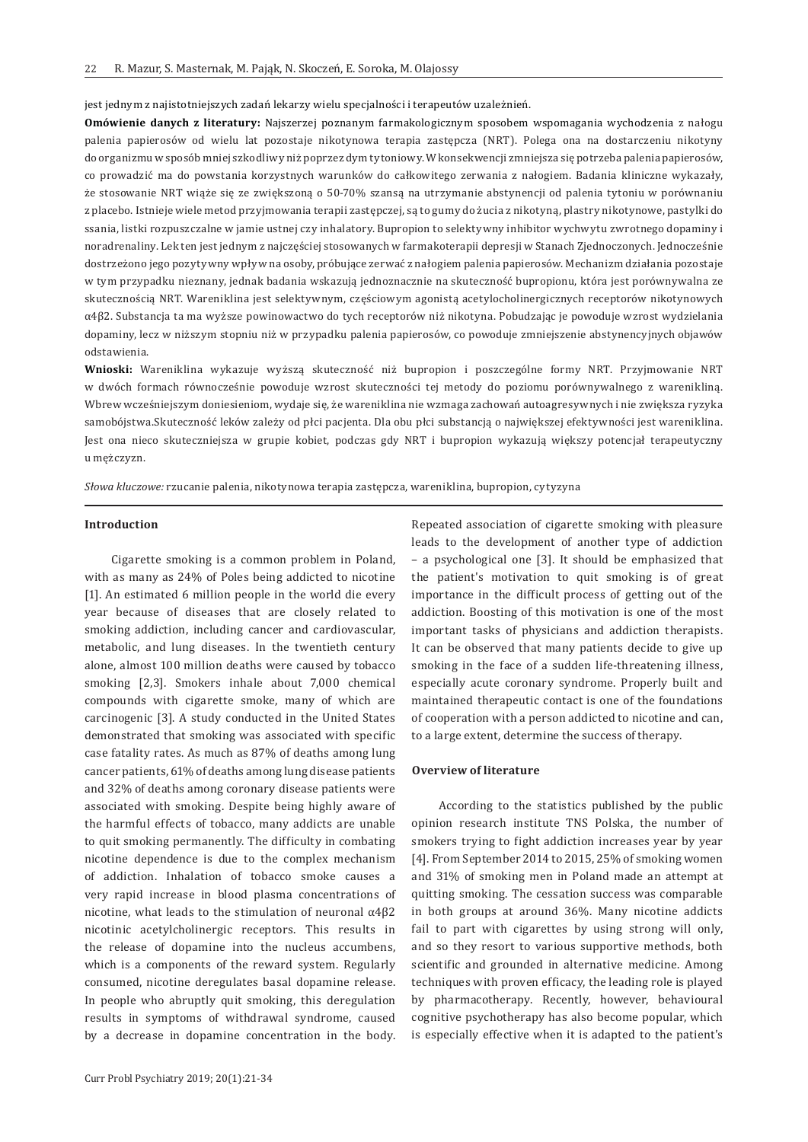jest jednym z najistotniejszych zadań lekarzy wielu specjalności i terapeutów uzależnień.

**Omówienie danych z literatury:** Najszerzej poznanym farmakologicznym sposobem wspomagania wychodzenia z nałogu palenia papierosów od wielu lat pozostaje nikotynowa terapia zastępcza (NRT). Polega ona na dostarczeniu nikotyny do organizmu w sposób mniej szkodliwy niż poprzez dym tytoniowy. W konsekwencji zmniejsza się potrzeba palenia papierosów, co prowadzić ma do powstania korzystnych warunków do całkowitego zerwania z nałogiem. Badania kliniczne wykazały, że stosowanie NRT wiąże się ze zwiększoną o 50-70% szansą na utrzymanie abstynencji od palenia tytoniu w porównaniu z placebo. Istnieje wiele metod przyjmowania terapii zastępczej, są to gumy do żucia z nikotyną, plastry nikotynowe, pastylki do ssania, listki rozpuszczalne w jamie ustnej czy inhalatory. Bupropion to selektywny inhibitor wychwytu zwrotnego dopaminy i noradrenaliny. Lek ten jest jednym z najczęściej stosowanych w farmakoterapii depresji w Stanach Zjednoczonych. Jednocześnie dostrzeżono jego pozytywny wpływ na osoby, próbujące zerwać z nałogiem palenia papierosów. Mechanizm działania pozostaje w tym przypadku nieznany, jednak badania wskazują jednoznacznie na skuteczność bupropionu, która jest porównywalna ze skutecznością NRT. Wareniklina jest selektywnym, częściowym agonistą acetylocholinergicznych receptorów nikotynowych α4β2. Substancja ta ma wyższe powinowactwo do tych receptorów niż nikotyna. Pobudzając je powoduje wzrost wydzielania dopaminy, lecz w niższym stopniu niż w przypadku palenia papierosów, co powoduje zmniejszenie abstynencyjnych objawów odstawienia.

**Wnioski:** Wareniklina wykazuje wyższą skuteczność niż bupropion i poszczególne formy NRT. Przyjmowanie NRT w dwóch formach równocześnie powoduje wzrost skuteczności tej metody do poziomu porównywalnego z warenikliną. Wbrew wcześniejszym doniesieniom, wydaje się, że wareniklina nie wzmaga zachowań autoagresywnych i nie zwiększa ryzyka samobójstwa.Skuteczność leków zależy od płci pacjenta. Dla obu płci substancją o największej efektywności jest wareniklina. Jest ona nieco skuteczniejsza w grupie kobiet, podczas gdy NRT i bupropion wykazują większy potencjał terapeutyczny u mężczyzn.

*Słowa kluczowe:* rzucanie palenia, nikotynowa terapia zastępcza, wareniklina, bupropion, cytyzyna

#### **Introduction**

Cigarette smoking is a common problem in Poland, with as many as 24% of Poles being addicted to nicotine [1]. An estimated 6 million people in the world die every year because of diseases that are closely related to smoking addiction, including cancer and cardiovascular, metabolic, and lung diseases. In the twentieth century alone, almost 100 million deaths were caused by tobacco smoking [2,3]. Smokers inhale about 7,000 chemical compounds with cigarette smoke, many of which are carcinogenic [3]. A study conducted in the United States demonstrated that smoking was associated with specific case fatality rates. As much as 87% of deaths among lung cancer patients, 61% of deaths among lung disease patients and 32% of deaths among coronary disease patients were associated with smoking. Despite being highly aware of the harmful effects of tobacco, many addicts are unable to quit smoking permanently. The difficulty in combating nicotine dependence is due to the complex mechanism of addiction. Inhalation of tobacco smoke causes a very rapid increase in blood plasma concentrations of nicotine, what leads to the stimulation of neuronal α4β2 nicotinic acetylcholinergic receptors. This results in the release of dopamine into the nucleus accumbens, which is a components of the reward system. Regularly consumed, nicotine deregulates basal dopamine release. In people who abruptly quit smoking, this deregulation results in symptoms of withdrawal syndrome, caused by a decrease in dopamine concentration in the body.

Curr Probl Psychiatry 2019; 20(1):21-34

Repeated association of cigarette smoking with pleasure leads to the development of another type of addiction – a psychological one [3]. It should be emphasized that the patient's motivation to quit smoking is of great importance in the difficult process of getting out of the addiction. Boosting of this motivation is one of the most important tasks of physicians and addiction therapists. It can be observed that many patients decide to give up smoking in the face of a sudden life-threatening illness, especially acute coronary syndrome. Properly built and maintained therapeutic contact is one of the foundations of cooperation with a person addicted to nicotine and can, to a large extent, determine the success of therapy.

#### **Overview of literature**

According to the statistics published by the public opinion research institute TNS Polska, the number of smokers trying to fight addiction increases year by year [4]. From September 2014 to 2015, 25% of smoking women and 31% of smoking men in Poland made an attempt at quitting smoking. The cessation success was comparable in both groups at around 36%. Many nicotine addicts fail to part with cigarettes by using strong will only, and so they resort to various supportive methods, both scientific and grounded in alternative medicine. Among techniques with proven efficacy, the leading role is played by pharmacotherapy. Recently, however, behavioural cognitive psychotherapy has also become popular, which is especially effective when it is adapted to the patient's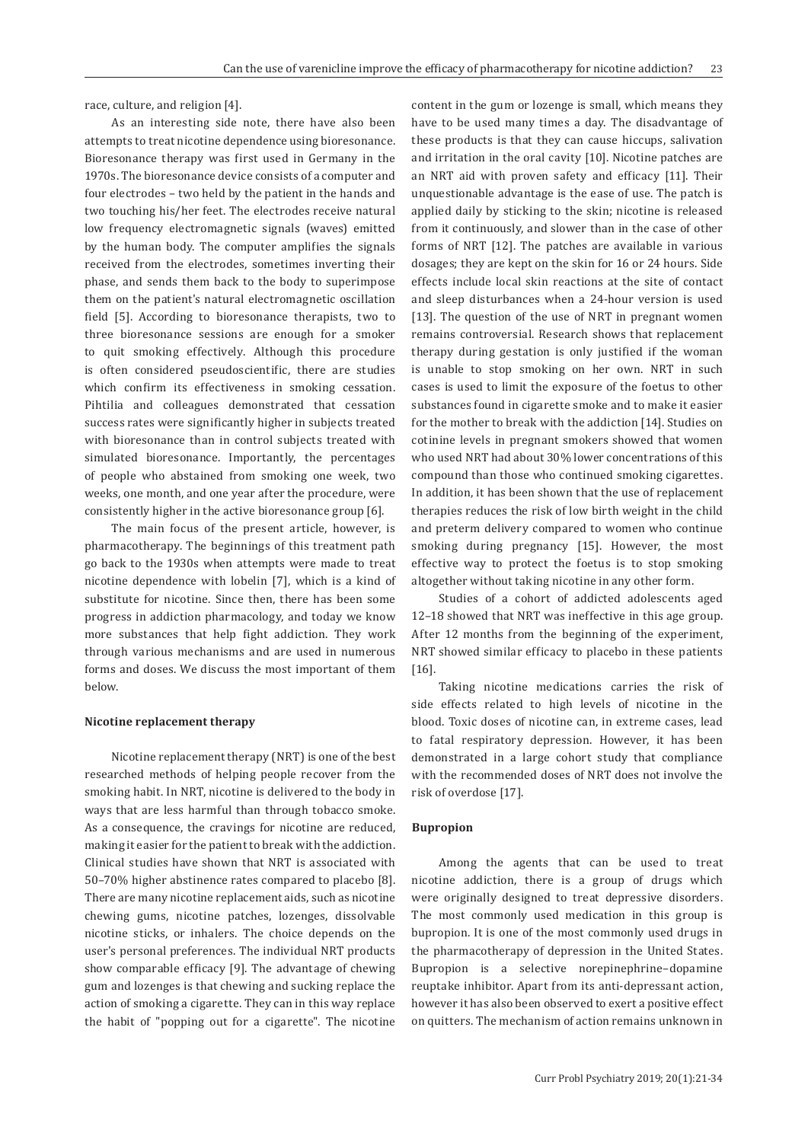race, culture, and religion [4].

As an interesting side note, there have also been attempts to treat nicotine dependence using bioresonance. Bioresonance therapy was first used in Germany in the 1970s. The bioresonance device consists of a computer and four electrodes – two held by the patient in the hands and two touching his/her feet. The electrodes receive natural low frequency electromagnetic signals (waves) emitted by the human body. The computer amplifies the signals received from the electrodes, sometimes inverting their phase, and sends them back to the body to superimpose them on the patient's natural electromagnetic oscillation field [5]. According to bioresonance therapists, two to three bioresonance sessions are enough for a smoker to quit smoking effectively. Although this procedure is often considered pseudoscientific, there are studies which confirm its effectiveness in smoking cessation. Pihtilia and colleagues demonstrated that cessation success rates were significantly higher in subjects treated with bioresonance than in control subjects treated with simulated bioresonance. Importantly, the percentages of people who abstained from smoking one week, two weeks, one month, and one year after the procedure, were consistently higher in the active bioresonance group [6].

The main focus of the present article, however, is pharmacotherapy. The beginnings of this treatment path go back to the 1930s when attempts were made to treat nicotine dependence with lobelin [7], which is a kind of substitute for nicotine. Since then, there has been some progress in addiction pharmacology, and today we know more substances that help fight addiction. They work through various mechanisms and are used in numerous forms and doses. We discuss the most important of them below.

#### **Nicotine replacement therapy**

Nicotine replacement therapy (NRT) is one of the best researched methods of helping people recover from the smoking habit. In NRT, nicotine is delivered to the body in ways that are less harmful than through tobacco smoke. As a consequence, the cravings for nicotine are reduced, making it easier for the patient to break with the addiction. Clinical studies have shown that NRT is associated with 50–70% higher abstinence rates compared to placebo [8]. There are many nicotine replacement aids, such as nicotine chewing gums, nicotine patches, lozenges, dissolvable nicotine sticks, or inhalers. The choice depends on the user's personal preferences. The individual NRT products show comparable efficacy [9]. The advantage of chewing gum and lozenges is that chewing and sucking replace the action of smoking a cigarette. They can in this way replace the habit of "popping out for a cigarette". The nicotine

content in the gum or lozenge is small, which means they have to be used many times a day. The disadvantage of these products is that they can cause hiccups, salivation and irritation in the oral cavity [10]. Nicotine patches are an NRT aid with proven safety and efficacy [11]. Their unquestionable advantage is the ease of use. The patch is applied daily by sticking to the skin; nicotine is released from it continuously, and slower than in the case of other forms of NRT [12]. The patches are available in various dosages; they are kept on the skin for 16 or 24 hours. Side effects include local skin reactions at the site of contact and sleep disturbances when a 24-hour version is used [13]. The question of the use of NRT in pregnant women remains controversial. Research shows that replacement therapy during gestation is only justified if the woman is unable to stop smoking on her own. NRT in such cases is used to limit the exposure of the foetus to other substances found in cigarette smoke and to make it easier for the mother to break with the addiction [14]. Studies on cotinine levels in pregnant smokers showed that women who used NRT had about 30% lower concentrations of this compound than those who continued smoking cigarettes. In addition, it has been shown that the use of replacement therapies reduces the risk of low birth weight in the child and preterm delivery compared to women who continue smoking during pregnancy [15]. However, the most effective way to protect the foetus is to stop smoking altogether without taking nicotine in any other form.

Studies of a cohort of addicted adolescents aged 12–18 showed that NRT was ineffective in this age group. After 12 months from the beginning of the experiment, NRT showed similar efficacy to placebo in these patients [16].

Taking nicotine medications carries the risk of side effects related to high levels of nicotine in the blood. Toxic doses of nicotine can, in extreme cases, lead to fatal respiratory depression. However, it has been demonstrated in a large cohort study that compliance with the recommended doses of NRT does not involve the risk of overdose [17].

#### **Bupropion**

Among the agents that can be used to treat nicotine addiction, there is a group of drugs which were originally designed to treat depressive disorders. The most commonly used medication in this group is bupropion. It is one of the most commonly used drugs in the pharmacotherapy of depression in the United States. Bupropion is a selective norepinephrine–dopamine reuptake inhibitor. Apart from its anti-depressant action, however it has also been observed to exert a positive effect on quitters. The mechanism of action remains unknown in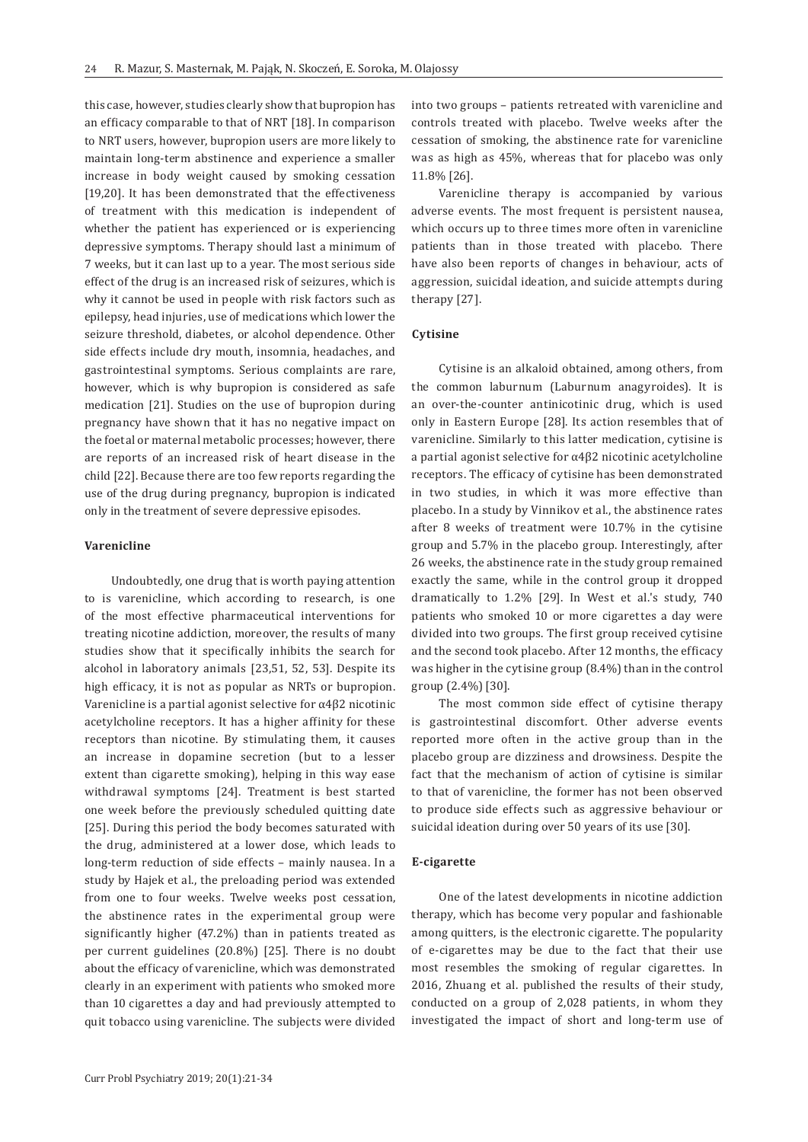this case, however, studies clearly show that bupropion has an efficacy comparable to that of NRT [18]. In comparison to NRT users, however, bupropion users are more likely to maintain long-term abstinence and experience a smaller increase in body weight caused by smoking cessation [19,20]. It has been demonstrated that the effectiveness of treatment with this medication is independent of whether the patient has experienced or is experiencing depressive symptoms. Therapy should last a minimum of 7 weeks, but it can last up to a year. The most serious side effect of the drug is an increased risk of seizures, which is why it cannot be used in people with risk factors such as epilepsy, head injuries, use of medications which lower the seizure threshold, diabetes, or alcohol dependence. Other side effects include dry mouth, insomnia, headaches, and gastrointestinal symptoms. Serious complaints are rare, however, which is why bupropion is considered as safe medication [21]. Studies on the use of bupropion during pregnancy have shown that it has no negative impact on the foetal or maternal metabolic processes; however, there are reports of an increased risk of heart disease in the child [22]. Because there are too few reports regarding the use of the drug during pregnancy, bupropion is indicated only in the treatment of severe depressive episodes.

## **Varenicline**

Undoubtedly, one drug that is worth paying attention to is varenicline, which according to research, is one of the most effective pharmaceutical interventions for treating nicotine addiction, moreover, the results of many studies show that it specifically inhibits the search for alcohol in laboratory animals [23,51, 52, 53]. Despite its high efficacy, it is not as popular as NRTs or bupropion. Varenicline is a partial agonist selective for α4β2 nicotinic acetylcholine receptors. It has a higher affinity for these receptors than nicotine. By stimulating them, it causes an increase in dopamine secretion (but to a lesser extent than cigarette smoking), helping in this way ease withdrawal symptoms [24]. Treatment is best started one week before the previously scheduled quitting date [25]. During this period the body becomes saturated with the drug, administered at a lower dose, which leads to long-term reduction of side effects – mainly nausea. In a study by Hajek et al., the preloading period was extended from one to four weeks. Twelve weeks post cessation, the abstinence rates in the experimental group were significantly higher (47.2%) than in patients treated as per current guidelines (20.8%) [25]. There is no doubt about the efficacy of varenicline, which was demonstrated clearly in an experiment with patients who smoked more than 10 cigarettes a day and had previously attempted to quit tobacco using varenicline. The subjects were divided

Curr Probl Psychiatry 2019; 20(1):21-34

into two groups – patients retreated with varenicline and controls treated with placebo. Twelve weeks after the cessation of smoking, the abstinence rate for varenicline was as high as 45%, whereas that for placebo was only 11.8% [26].

Varenicline therapy is accompanied by various adverse events. The most frequent is persistent nausea, which occurs up to three times more often in varenicline patients than in those treated with placebo. There have also been reports of changes in behaviour, acts of aggression, suicidal ideation, and suicide attempts during therapy [27].

## **Cytisine**

Cytisine is an alkaloid obtained, among others, from the common laburnum (Laburnum anagyroides). It is an over-the-counter antinicotinic drug, which is used only in Eastern Europe [28]. Its action resembles that of varenicline. Similarly to this latter medication, cytisine is a partial agonist selective for α4β2 nicotinic acetylcholine receptors. The efficacy of cytisine has been demonstrated in two studies, in which it was more effective than placebo. In a study by Vinnikov et al., the abstinence rates after 8 weeks of treatment were 10.7% in the cytisine group and 5.7% in the placebo group. Interestingly, after 26 weeks, the abstinence rate in the study group remained exactly the same, while in the control group it dropped dramatically to 1.2% [29]. In West et al.'s study, 740 patients who smoked 10 or more cigarettes a day were divided into two groups. The first group received cytisine and the second took placebo. After 12 months, the efficacy was higher in the cytisine group (8.4%) than in the control group (2.4%) [30].

The most common side effect of cytisine therapy is gastrointestinal discomfort. Other adverse events reported more often in the active group than in the placebo group are dizziness and drowsiness. Despite the fact that the mechanism of action of cytisine is similar to that of varenicline, the former has not been observed to produce side effects such as aggressive behaviour or suicidal ideation during over 50 years of its use [30].

#### **E-cigarette**

One of the latest developments in nicotine addiction therapy, which has become very popular and fashionable among quitters, is the electronic cigarette. The popularity of e-cigarettes may be due to the fact that their use most resembles the smoking of regular cigarettes. In 2016, Zhuang et al. published the results of their study, conducted on a group of 2,028 patients, in whom they investigated the impact of short and long-term use of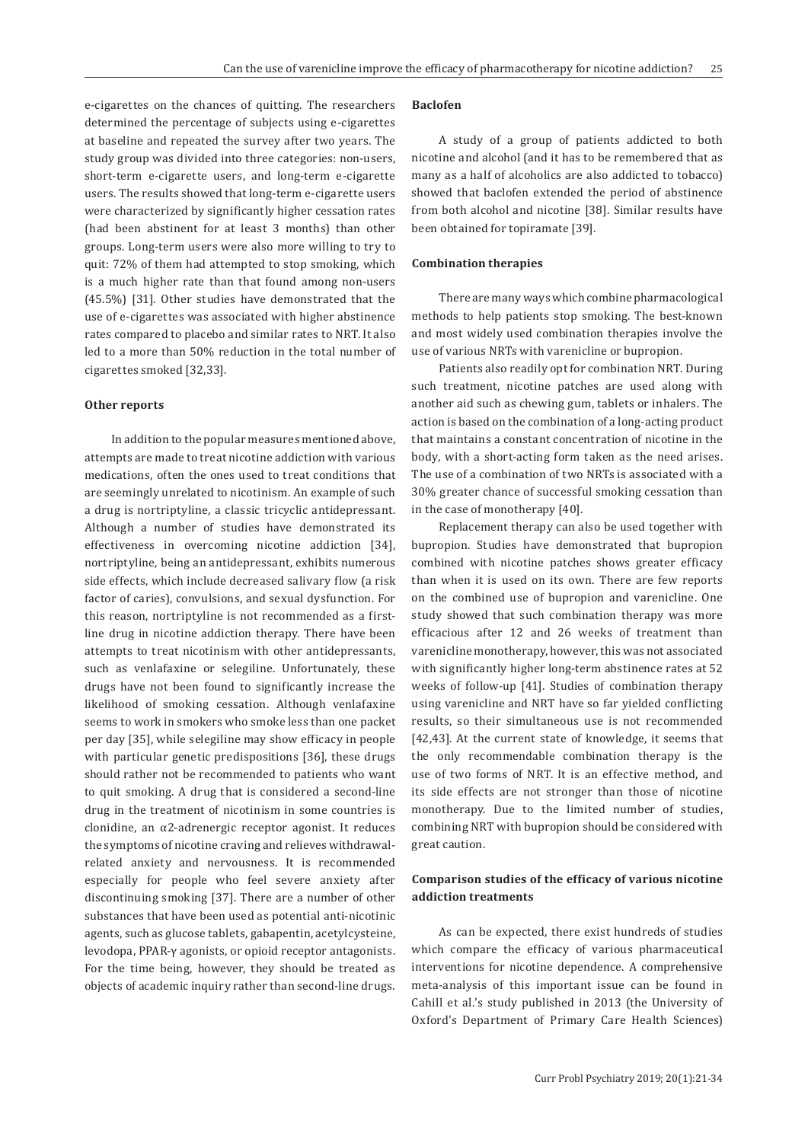e-cigarettes on the chances of quitting. The researchers determined the percentage of subjects using e-cigarettes at baseline and repeated the survey after two years. The study group was divided into three categories: non-users, short-term e-cigarette users, and long-term e-cigarette users. The results showed that long-term e-cigarette users were characterized by significantly higher cessation rates (had been abstinent for at least 3 months) than other groups. Long-term users were also more willing to try to quit: 72% of them had attempted to stop smoking, which is a much higher rate than that found among non-users (45.5%) [31]. Other studies have demonstrated that the use of e-cigarettes was associated with higher abstinence rates compared to placebo and similar rates to NRT. It also led to a more than 50% reduction in the total number of cigarettes smoked [32,33].

#### **Other reports**

In addition to the popular measures mentioned above, attempts are made to treat nicotine addiction with various medications, often the ones used to treat conditions that are seemingly unrelated to nicotinism. An example of such a drug is nortriptyline, a classic tricyclic antidepressant. Although a number of studies have demonstrated its effectiveness in overcoming nicotine addiction [34], nortriptyline, being an antidepressant, exhibits numerous side effects, which include decreased salivary flow (a risk factor of caries), convulsions, and sexual dysfunction. For this reason, nortriptyline is not recommended as a firstline drug in nicotine addiction therapy. There have been attempts to treat nicotinism with other antidepressants, such as venlafaxine or selegiline. Unfortunately, these drugs have not been found to significantly increase the likelihood of smoking cessation. Although venlafaxine seems to work in smokers who smoke less than one packet per day [35], while selegiline may show efficacy in people with particular genetic predispositions [36], these drugs should rather not be recommended to patients who want to quit smoking. A drug that is considered a second-line drug in the treatment of nicotinism in some countries is clonidine, an α2-adrenergic receptor agonist. It reduces the symptoms of nicotine craving and relieves withdrawalrelated anxiety and nervousness. It is recommended especially for people who feel severe anxiety after discontinuing smoking [37]. There are a number of other substances that have been used as potential anti-nicotinic agents, such as glucose tablets, gabapentin, acetylcysteine, levodopa, PPAR-γ agonists, or opioid receptor antagonists. For the time being, however, they should be treated as objects of academic inquiry rather than second-line drugs.

## **Baclofen**

A study of a group of patients addicted to both nicotine and alcohol (and it has to be remembered that as many as a half of alcoholics are also addicted to tobacco) showed that baclofen extended the period of abstinence from both alcohol and nicotine [38]. Similar results have been obtained for topiramate [39].

## **Combination therapies**

There are many ways which combine pharmacological methods to help patients stop smoking. The best-known and most widely used combination therapies involve the use of various NRTs with varenicline or bupropion.

Patients also readily opt for combination NRT. During such treatment, nicotine patches are used along with another aid such as chewing gum, tablets or inhalers. The action is based on the combination of a long-acting product that maintains a constant concentration of nicotine in the body, with a short-acting form taken as the need arises. The use of a combination of two NRTs is associated with a 30% greater chance of successful smoking cessation than in the case of monotherapy [40].

Replacement therapy can also be used together with bupropion. Studies have demonstrated that bupropion combined with nicotine patches shows greater efficacy than when it is used on its own. There are few reports on the combined use of bupropion and varenicline. One study showed that such combination therapy was more efficacious after 12 and 26 weeks of treatment than varenicline monotherapy, however, this was not associated with significantly higher long-term abstinence rates at 52 weeks of follow-up [41]. Studies of combination therapy using varenicline and NRT have so far yielded conflicting results, so their simultaneous use is not recommended [42,43]. At the current state of knowledge, it seems that the only recommendable combination therapy is the use of two forms of NRT. It is an effective method, and its side effects are not stronger than those of nicotine monotherapy. Due to the limited number of studies, combining NRT with bupropion should be considered with great caution.

# **Comparison studies of the efficacy of various nicotine addiction treatments**

As can be expected, there exist hundreds of studies which compare the efficacy of various pharmaceutical interventions for nicotine dependence. A comprehensive meta-analysis of this important issue can be found in Cahill et al.'s study published in 2013 (the University of Oxford's Department of Primary Care Health Sciences)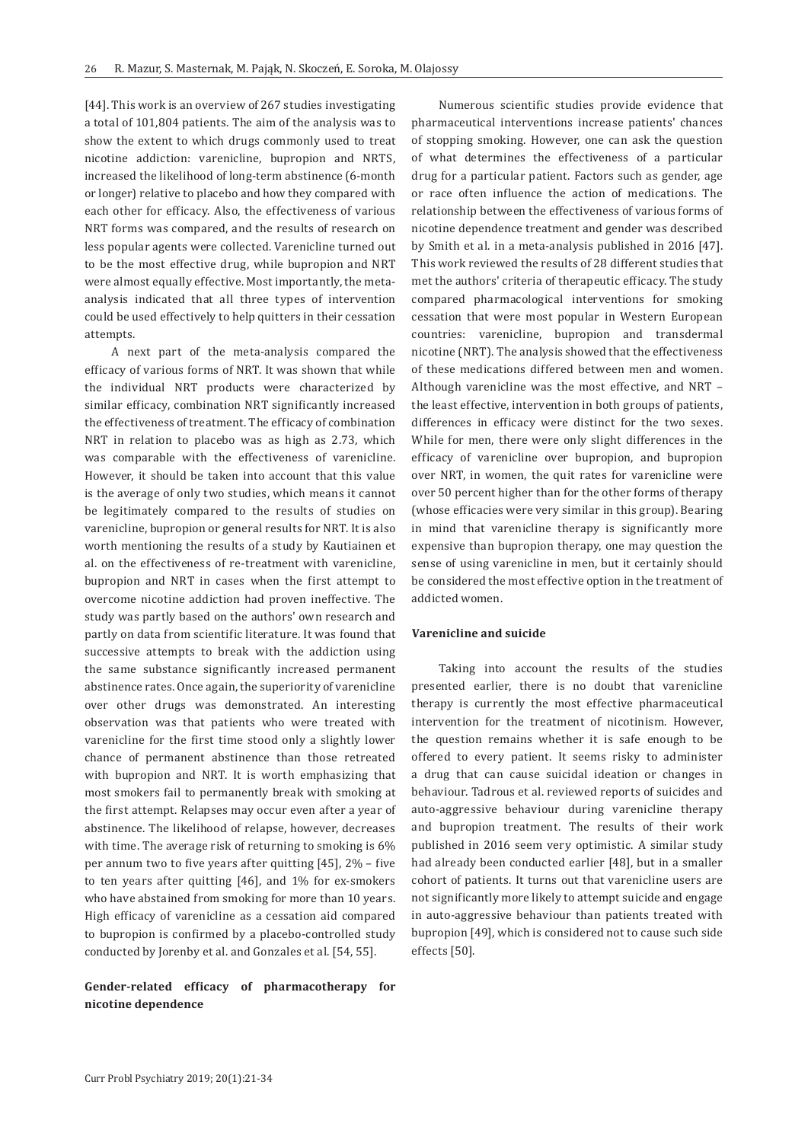[44]. This work is an overview of 267 studies investigating a total of 101,804 patients. The aim of the analysis was to show the extent to which drugs commonly used to treat nicotine addiction: varenicline, bupropion and NRTS, increased the likelihood of long-term abstinence (6-month or longer) relative to placebo and how they compared with each other for efficacy. Also, the effectiveness of various NRT forms was compared, and the results of research on less popular agents were collected. Varenicline turned out to be the most effective drug, while bupropion and NRT were almost equally effective. Most importantly, the metaanalysis indicated that all three types of intervention could be used effectively to help quitters in their cessation attempts.

A next part of the meta-analysis compared the efficacy of various forms of NRT. It was shown that while the individual NRT products were characterized by similar efficacy, combination NRT significantly increased the effectiveness of treatment. The efficacy of combination NRT in relation to placebo was as high as 2.73, which was comparable with the effectiveness of varenicline. However, it should be taken into account that this value is the average of only two studies, which means it cannot be legitimately compared to the results of studies on varenicline, bupropion or general results for NRT. It is also worth mentioning the results of a study by Kautiainen et al. on the effectiveness of re-treatment with varenicline, bupropion and NRT in cases when the first attempt to overcome nicotine addiction had proven ineffective. The study was partly based on the authors' own research and partly on data from scientific literature. It was found that successive attempts to break with the addiction using the same substance significantly increased permanent abstinence rates. Once again, the superiority of varenicline over other drugs was demonstrated. An interesting observation was that patients who were treated with varenicline for the first time stood only a slightly lower chance of permanent abstinence than those retreated with bupropion and NRT. It is worth emphasizing that most smokers fail to permanently break with smoking at the first attempt. Relapses may occur even after a year of abstinence. The likelihood of relapse, however, decreases with time. The average risk of returning to smoking is 6% per annum two to five years after quitting [45], 2% – five to ten years after quitting [46], and 1% for ex-smokers who have abstained from smoking for more than 10 years. High efficacy of varenicline as a cessation aid compared to bupropion is confirmed by a placebo-controlled study conducted by Jorenby et al. and Gonzales et al. [54, 55].

**Gender-related efficacy of pharmacotherapy for nicotine dependence**

Numerous scientific studies provide evidence that pharmaceutical interventions increase patients' chances of stopping smoking. However, one can ask the question of what determines the effectiveness of a particular drug for a particular patient. Factors such as gender, age or race often influence the action of medications. The relationship between the effectiveness of various forms of nicotine dependence treatment and gender was described by Smith et al. in a meta-analysis published in 2016 [47]. This work reviewed the results of 28 different studies that met the authors' criteria of therapeutic efficacy. The study compared pharmacological interventions for smoking cessation that were most popular in Western European countries: varenicline, bupropion and transdermal nicotine (NRT). The analysis showed that the effectiveness of these medications differed between men and women. Although varenicline was the most effective, and NRT – the least effective, intervention in both groups of patients, differences in efficacy were distinct for the two sexes. While for men, there were only slight differences in the efficacy of varenicline over bupropion, and bupropion over NRT, in women, the quit rates for varenicline were over 50 percent higher than for the other forms of therapy (whose efficacies were very similar in this group). Bearing in mind that varenicline therapy is significantly more expensive than bupropion therapy, one may question the sense of using varenicline in men, but it certainly should be considered the most effective option in the treatment of addicted women.

## **Varenicline and suicide**

Taking into account the results of the studies presented earlier, there is no doubt that varenicline therapy is currently the most effective pharmaceutical intervention for the treatment of nicotinism. However, the question remains whether it is safe enough to be offered to every patient. It seems risky to administer a drug that can cause suicidal ideation or changes in behaviour. Tadrous et al. reviewed reports of suicides and auto-aggressive behaviour during varenicline therapy and bupropion treatment. The results of their work published in 2016 seem very optimistic. A similar study had already been conducted earlier [48], but in a smaller cohort of patients. It turns out that varenicline users are not significantly more likely to attempt suicide and engage in auto-aggressive behaviour than patients treated with bupropion [49], which is considered not to cause such side effects [50].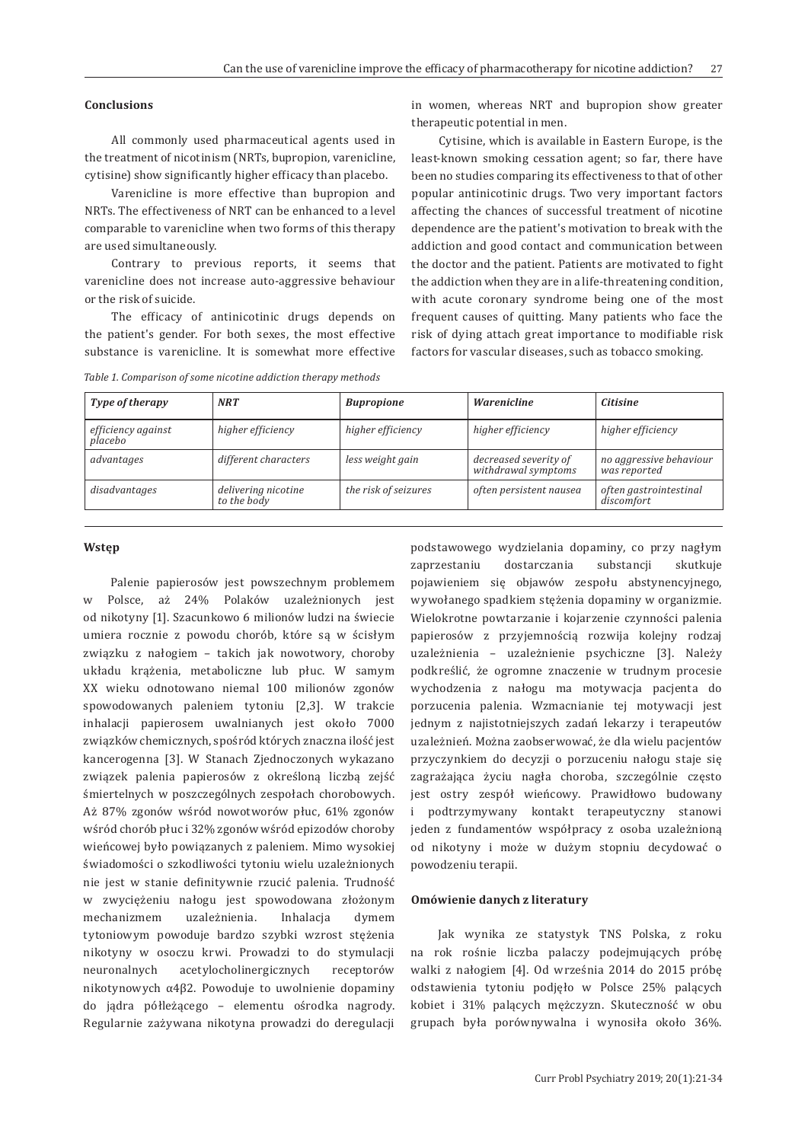## **Conclusions**

All commonly used pharmaceutical agents used in the treatment of nicotinism (NRTs, bupropion, varenicline, cytisine) show significantly higher efficacy than placebo.

Varenicline is more effective than bupropion and NRTs. The effectiveness of NRT can be enhanced to a level comparable to varenicline when two forms of this therapy are used simultaneously.

Contrary to previous reports, it seems that varenicline does not increase auto-aggressive behaviour or the risk of suicide.

The efficacy of antinicotinic drugs depends on the patient's gender. For both sexes, the most effective substance is varenicline. It is somewhat more effective

*Table 1. Comparison of some nicotine addiction therapy methods*

in women, whereas NRT and bupropion show greater therapeutic potential in men.

Cytisine, which is available in Eastern Europe, is the least-known smoking cessation agent; so far, there have been no studies comparing its effectiveness to that of other popular antinicotinic drugs. Two very important factors affecting the chances of successful treatment of nicotine dependence are the patient's motivation to break with the addiction and good contact and communication between the doctor and the patient. Patients are motivated to fight the addiction when they are in a life-threatening condition, with acute coronary syndrome being one of the most frequent causes of quitting. Many patients who face the risk of dying attach great importance to modifiable risk factors for vascular diseases, such as tobacco smoking.

| <b>NRT</b>                         | <b>Bupropione</b>    | <b>Warenicline</b>                           | <b>Citisine</b>                         |
|------------------------------------|----------------------|----------------------------------------------|-----------------------------------------|
| higher efficiency                  | higher efficiency    | higher efficiency                            | higher efficiency                       |
| different characters               | less weight gain     | decreased severity of<br>withdrawal symptoms | no aggressive behaviour<br>was reported |
| delivering nicotine<br>to the body | the risk of seizures | often persistent nausea                      | often gastrointestinal<br>discomfort    |
|                                    |                      |                                              |                                         |

#### **Wstęp**

Palenie papierosów jest powszechnym problemem w Polsce, aż 24% Polaków uzależnionych jest od nikotyny [1]. Szacunkowo 6 milionów ludzi na świecie umiera rocznie z powodu chorób, które są w ścisłym związku z nałogiem – takich jak nowotwory, choroby układu krążenia, metaboliczne lub płuc. W samym XX wieku odnotowano niemal 100 milionów zgonów spowodowanych paleniem tytoniu [2,3]. W trakcie inhalacji papierosem uwalnianych jest około 7000 związków chemicznych, spośród których znaczna ilość jest kancerogenna [3]. W Stanach Zjednoczonych wykazano związek palenia papierosów z określoną liczbą zejść śmiertelnych w poszczególnych zespołach chorobowych. Aż 87% zgonów wśród nowotworów płuc, 61% zgonów wśród chorób płuc i 32% zgonów wśród epizodów choroby wieńcowej było powiązanych z paleniem. Mimo wysokiej świadomości o szkodliwości tytoniu wielu uzależnionych nie jest w stanie definitywnie rzucić palenia. Trudność w zwyciężeniu nałogu jest spowodowana złożonym mechanizmem uzależnienia. Inhalacja dymem tytoniowym powoduje bardzo szybki wzrost stężenia nikotyny w osoczu krwi. Prowadzi to do stymulacji neuronalnych acetylocholinergicznych receptorów nikotynowych α4β2. Powoduje to uwolnienie dopaminy do jądra półleżącego – elementu ośrodka nagrody. Regularnie zażywana nikotyna prowadzi do deregulacji

podstawowego wydzielania dopaminy, co przy nagłym zaprzestaniu dostarczania substancji skutkuje pojawieniem się objawów zespołu abstynencyjnego, wywołanego spadkiem stężenia dopaminy w organizmie. Wielokrotne powtarzanie i kojarzenie czynności palenia papierosów z przyjemnością rozwija kolejny rodzaj uzależnienia – uzależnienie psychiczne [3]. Należy podkreślić, że ogromne znaczenie w trudnym procesie wychodzenia z nałogu ma motywacja pacjenta do porzucenia palenia. Wzmacnianie tej motywacji jest jednym z najistotniejszych zadań lekarzy i terapeutów uzależnień. Można zaobserwować, że dla wielu pacjentów przyczynkiem do decyzji o porzuceniu nałogu staje się zagrażająca życiu nagła choroba, szczególnie często jest ostry zespół wieńcowy. Prawidłowo budowany i podtrzymywany kontakt terapeutyczny stanowi jeden z fundamentów współpracy z osoba uzależnioną od nikotyny i może w dużym stopniu decydować o powodzeniu terapii.

## **Omówienie danych z literatury**

Jak wynika ze statystyk TNS Polska, z roku na rok rośnie liczba palaczy podejmujących próbę walki z nałogiem [4]. Od września 2014 do 2015 próbę odstawienia tytoniu podjęło w Polsce 25% palących kobiet i 31% palących mężczyzn. Skuteczność w obu grupach była porównywalna i wynosiła około 36%.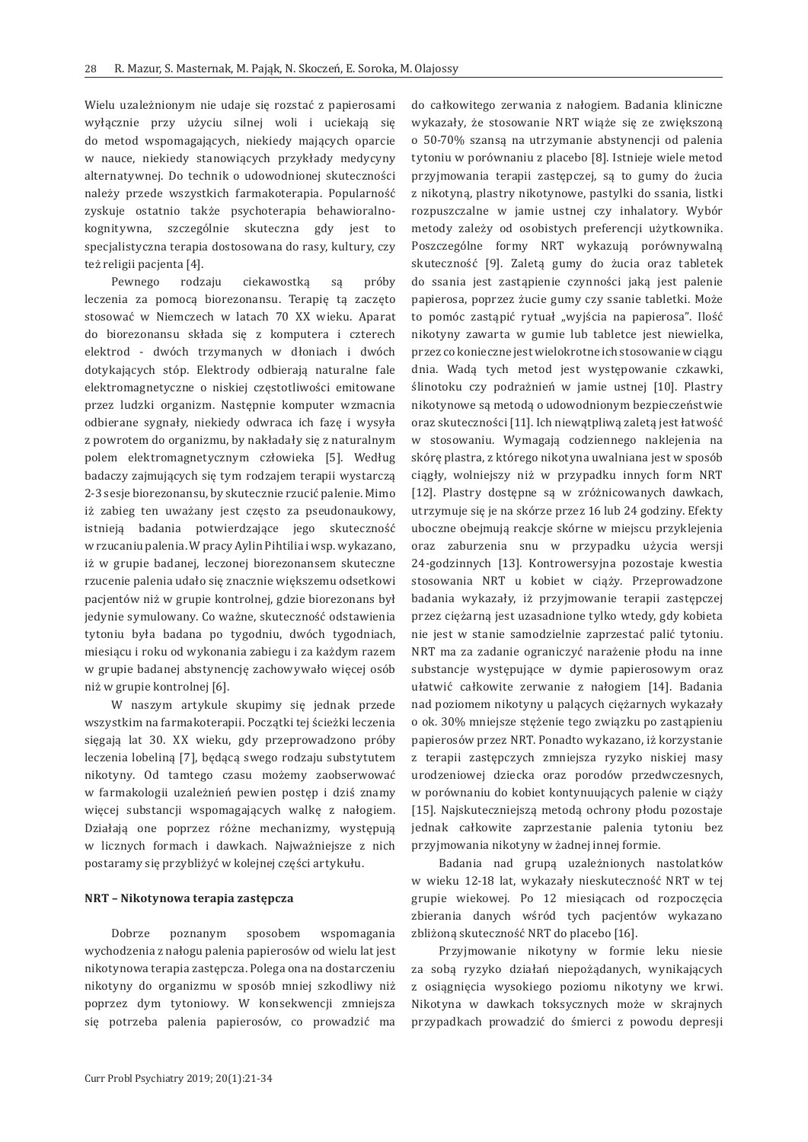Wielu uzależnionym nie udaje się rozstać z papierosami wyłącznie przy użyciu silnej woli i uciekają się do metod wspomagających, niekiedy mających oparcie w nauce, niekiedy stanowiących przykłady medycyny alternatywnej. Do technik o udowodnionej skuteczności należy przede wszystkich farmakoterapia. Popularność zyskuje ostatnio także psychoterapia behawioralnokognitywna, szczególnie skuteczna gdy jest to specjalistyczna terapia dostosowana do rasy, kultury, czy też religii pacjenta [4].

Pewnego rodzaju ciekawostką są próby leczenia za pomocą biorezonansu. Terapię tą zaczęto stosować w Niemczech w latach 70 XX wieku. Aparat do biorezonansu składa się z komputera i czterech elektrod - dwóch trzymanych w dłoniach i dwóch dotykających stóp. Elektrody odbierają naturalne fale elektromagnetyczne o niskiej częstotliwości emitowane przez ludzki organizm. Następnie komputer wzmacnia odbierane sygnały, niekiedy odwraca ich fazę i wysyła z powrotem do organizmu, by nakładały się z naturalnym polem elektromagnetycznym człowieka [5]. Według badaczy zajmujących się tym rodzajem terapii wystarczą 2-3 sesje biorezonansu, by skutecznie rzucić palenie. Mimo iż zabieg ten uważany jest często za pseudonaukowy, istnieją badania potwierdzające jego skuteczność w rzucaniu palenia. W pracy Aylin Pihtilia i wsp. wykazano, iż w grupie badanej, leczonej biorezonansem skuteczne rzucenie palenia udało się znacznie większemu odsetkowi pacjentów niż w grupie kontrolnej, gdzie biorezonans był jedynie symulowany. Co ważne, skuteczność odstawienia tytoniu była badana po tygodniu, dwóch tygodniach, miesiącu i roku od wykonania zabiegu i za każdym razem w grupie badanej abstynencję zachowywało więcej osób niż w grupie kontrolnej [6].

W naszym artykule skupimy się jednak przede wszystkim na farmakoterapii. Początki tej ścieżki leczenia sięgają lat 30. XX wieku, gdy przeprowadzono próby leczenia lobeliną [7], będącą swego rodzaju substytutem nikotyny. Od tamtego czasu możemy zaobserwować w farmakologii uzależnień pewien postęp i dziś znamy więcej substancji wspomagających walkę z nałogiem. Działają one poprzez różne mechanizmy, występują w licznych formach i dawkach. Najważniejsze z nich postaramy się przybliżyć w kolejnej części artykułu.

## **NRT – Nikotynowa terapia zastępcza**

Dobrze poznanym sposobem wspomagania wychodzenia z nałogu palenia papierosów od wielu lat jest nikotynowa terapia zastępcza. Polega ona na dostarczeniu nikotyny do organizmu w sposób mniej szkodliwy niż poprzez dym tytoniowy. W konsekwencji zmniejsza się potrzeba palenia papierosów, co prowadzić ma

do całkowitego zerwania z nałogiem. Badania kliniczne wykazały, że stosowanie NRT wiąże się ze zwiększoną o 50-70% szansą na utrzymanie abstynencji od palenia tytoniu w porównaniu z placebo [8]. Istnieje wiele metod przyjmowania terapii zastępczej, są to gumy do żucia z nikotyną, plastry nikotynowe, pastylki do ssania, listki rozpuszczalne w jamie ustnej czy inhalatory. Wybór metody zależy od osobistych preferencji użytkownika. Poszczególne formy NRT wykazują porównywalną skuteczność [9]. Zaletą gumy do żucia oraz tabletek do ssania jest zastąpienie czynności jaką jest palenie papierosa, poprzez żucie gumy czy ssanie tabletki. Może to pomóc zastąpić rytuał "wyjścia na papierosa". Ilość nikotyny zawarta w gumie lub tabletce jest niewielka, przez co konieczne jest wielokrotne ich stosowanie w ciągu dnia. Wadą tych metod jest występowanie czkawki, ślinotoku czy podrażnień w jamie ustnej [10]. Plastry nikotynowe są metodą o udowodnionym bezpieczeństwie oraz skuteczności [11]. Ich niewątpliwą zaletą jest łatwość w stosowaniu. Wymagają codziennego naklejenia na skórę plastra, z którego nikotyna uwalniana jest w sposób ciągły, wolniejszy niż w przypadku innych form NRT [12]. Plastry dostępne są w zróżnicowanych dawkach, utrzymuje się je na skórze przez 16 lub 24 godziny. Efekty uboczne obejmują reakcje skórne w miejscu przyklejenia oraz zaburzenia snu w przypadku użycia wersji 24-godzinnych [13]. Kontrowersyjna pozostaje kwestia stosowania NRT u kobiet w ciąży. Przeprowadzone badania wykazały, iż przyjmowanie terapii zastępczej przez ciężarną jest uzasadnione tylko wtedy, gdy kobieta nie jest w stanie samodzielnie zaprzestać palić tytoniu. NRT ma za zadanie ograniczyć narażenie płodu na inne substancje występujące w dymie papierosowym oraz ułatwić całkowite zerwanie z nałogiem [14]. Badania nad poziomem nikotyny u palących ciężarnych wykazały o ok. 30% mniejsze stężenie tego związku po zastąpieniu papierosów przez NRT. Ponadto wykazano, iż korzystanie z terapii zastępczych zmniejsza ryzyko niskiej masy urodzeniowej dziecka oraz porodów przedwczesnych, w porównaniu do kobiet kontynuujących palenie w ciąży [15]. Najskuteczniejszą metodą ochrony płodu pozostaje jednak całkowite zaprzestanie palenia tytoniu bez przyjmowania nikotyny w żadnej innej formie.

Badania nad grupą uzależnionych nastolatków w wieku 12-18 lat, wykazały nieskuteczność NRT w tej grupie wiekowej. Po 12 miesiącach od rozpoczęcia zbierania danych wśród tych pacjentów wykazano zbliżoną skuteczność NRT do placebo [16].

Przyjmowanie nikotyny w formie leku niesie za sobą ryzyko działań niepożądanych, wynikających z osiągnięcia wysokiego poziomu nikotyny we krwi. Nikotyna w dawkach toksycznych może w skrajnych przypadkach prowadzić do śmierci z powodu depresji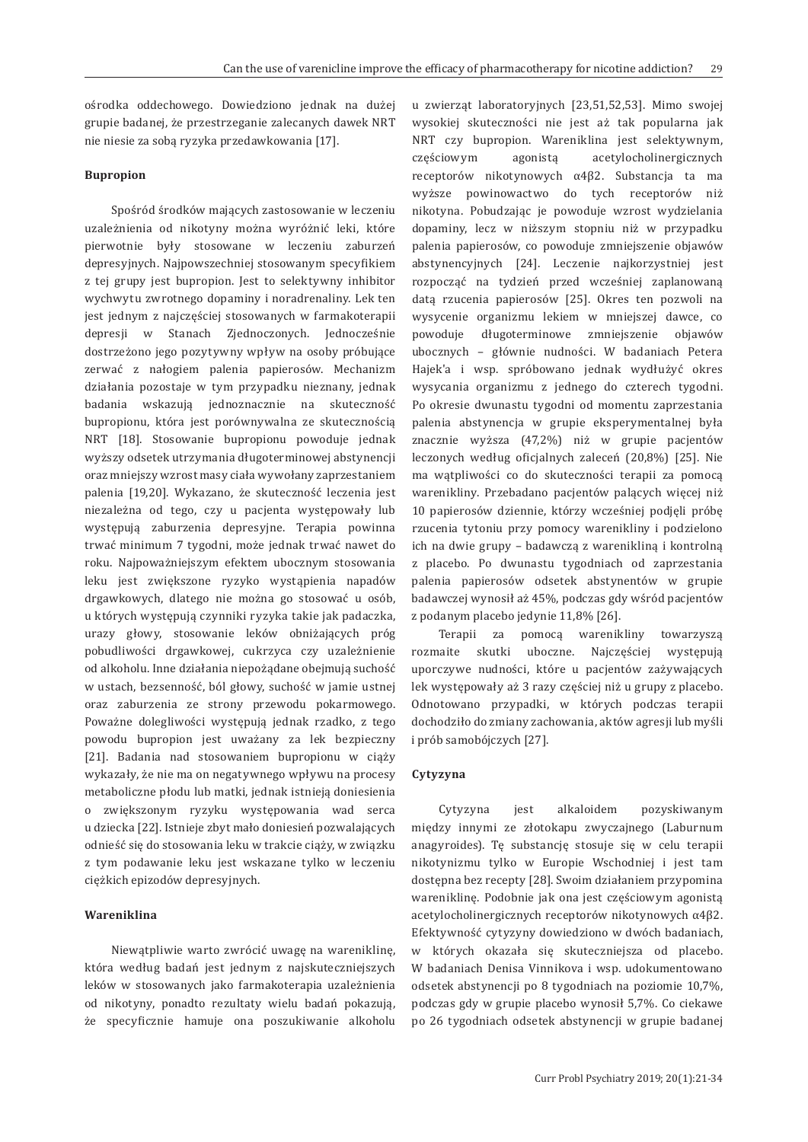ośrodka oddechowego. Dowiedziono jednak na dużej grupie badanej, że przestrzeganie zalecanych dawek NRT nie niesie za sobą ryzyka przedawkowania [17].

## **Bupropion**

Spośród środków mających zastosowanie w leczeniu uzależnienia od nikotyny można wyróżnić leki, które pierwotnie były stosowane w leczeniu zaburzeń depresyjnych. Najpowszechniej stosowanym specyfikiem z tej grupy jest bupropion. Jest to selektywny inhibitor wychwytu zwrotnego dopaminy i noradrenaliny. Lek ten jest jednym z najczęściej stosowanych w farmakoterapii depresji w Stanach Zjednoczonych. Jednocześnie dostrzeżono jego pozytywny wpływ na osoby próbujące zerwać z nałogiem palenia papierosów. Mechanizm działania pozostaje w tym przypadku nieznany, jednak badania wskazują jednoznacznie na skuteczność bupropionu, która jest porównywalna ze skutecznością NRT [18]. Stosowanie bupropionu powoduje jednak wyższy odsetek utrzymania długoterminowej abstynencji oraz mniejszy wzrost masy ciała wywołany zaprzestaniem palenia [19,20]. Wykazano, że skuteczność leczenia jest niezależna od tego, czy u pacjenta występowały lub występują zaburzenia depresyjne. Terapia powinna trwać minimum 7 tygodni, może jednak trwać nawet do roku. Najpoważniejszym efektem ubocznym stosowania leku jest zwiększone ryzyko wystąpienia napadów drgawkowych, dlatego nie można go stosować u osób, u których występują czynniki ryzyka takie jak padaczka, urazy głowy, stosowanie leków obniżających próg pobudliwości drgawkowej, cukrzyca czy uzależnienie od alkoholu. Inne działania niepożądane obejmują suchość w ustach, bezsenność, ból głowy, suchość w jamie ustnej oraz zaburzenia ze strony przewodu pokarmowego. Poważne dolegliwości występują jednak rzadko, z tego powodu bupropion jest uważany za lek bezpieczny [21]. Badania nad stosowaniem bupropionu w ciąży wykazały, że nie ma on negatywnego wpływu na procesy metaboliczne płodu lub matki, jednak istnieją doniesienia o zwiększonym ryzyku występowania wad serca u dziecka [22]. Istnieje zbyt mało doniesień pozwalających odnieść się do stosowania leku w trakcie ciąży, w związku z tym podawanie leku jest wskazane tylko w leczeniu ciężkich epizodów depresyjnych.

# **Wareniklina**

Niewątpliwie warto zwrócić uwagę na wareniklinę, która według badań jest jednym z najskuteczniejszych leków w stosowanych jako farmakoterapia uzależnienia od nikotyny, ponadto rezultaty wielu badań pokazują, że specyficznie hamuje ona poszukiwanie alkoholu u zwierząt laboratoryjnych [23,51,52,53]. Mimo swojej wysokiej skuteczności nie jest aż tak popularna jak NRT czy bupropion. Wareniklina jest selektywnym, częściowym agonistą acetylocholinergicznych receptorów nikotynowych α4β2. Substancja ta ma wyższe powinowactwo do tych receptorów niż nikotyna. Pobudzając je powoduje wzrost wydzielania dopaminy, lecz w niższym stopniu niż w przypadku palenia papierosów, co powoduje zmniejszenie objawów abstynencyjnych [24]. Leczenie najkorzystniej jest rozpocząć na tydzień przed wcześniej zaplanowaną datą rzucenia papierosów [25]. Okres ten pozwoli na wysycenie organizmu lekiem w mniejszej dawce, co powoduje długoterminowe zmniejszenie objawów ubocznych – głównie nudności. W badaniach Petera Hajek'a i wsp. spróbowano jednak wydłużyć okres wysycania organizmu z jednego do czterech tygodni. Po okresie dwunastu tygodni od momentu zaprzestania palenia abstynencja w grupie eksperymentalnej była znacznie wyższa (47,2%) niż w grupie pacjentów leczonych według oficjalnych zaleceń (20,8%) [25]. Nie ma wątpliwości co do skuteczności terapii za pomocą warenikliny. Przebadano pacjentów palących więcej niż 10 papierosów dziennie, którzy wcześniej podjęli próbę rzucenia tytoniu przy pomocy warenikliny i podzielono ich na dwie grupy – badawczą z warenikliną i kontrolną z placebo. Po dwunastu tygodniach od zaprzestania palenia papierosów odsetek abstynentów w grupie badawczej wynosił aż 45%, podczas gdy wśród pacjentów z podanym placebo jedynie 11,8% [26].

Terapii za pomocą warenikliny towarzyszą rozmaite skutki uboczne. Najczęściej występują uporczywe nudności, które u pacjentów zażywających lek występowały aż 3 razy częściej niż u grupy z placebo. Odnotowano przypadki, w których podczas terapii dochodziło do zmiany zachowania, aktów agresji lub myśli i prób samobójczych [27].

#### **Cytyzyna**

Cytyzyna jest alkaloidem pozyskiwanym między innymi ze złotokapu zwyczajnego (Laburnum anagyroides). Tę substancję stosuje się w celu terapii nikotynizmu tylko w Europie Wschodniej i jest tam dostępna bez recepty [28]. Swoim działaniem przypomina wareniklinę. Podobnie jak ona jest częściowym agonistą acetylocholinergicznych receptorów nikotynowych α4β2. Efektywność cytyzyny dowiedziono w dwóch badaniach, w których okazała się skuteczniejsza od placebo. W badaniach Denisa Vinnikova i wsp. udokumentowano odsetek abstynencji po 8 tygodniach na poziomie 10,7%, podczas gdy w grupie placebo wynosił 5,7%. Co ciekawe po 26 tygodniach odsetek abstynencji w grupie badanej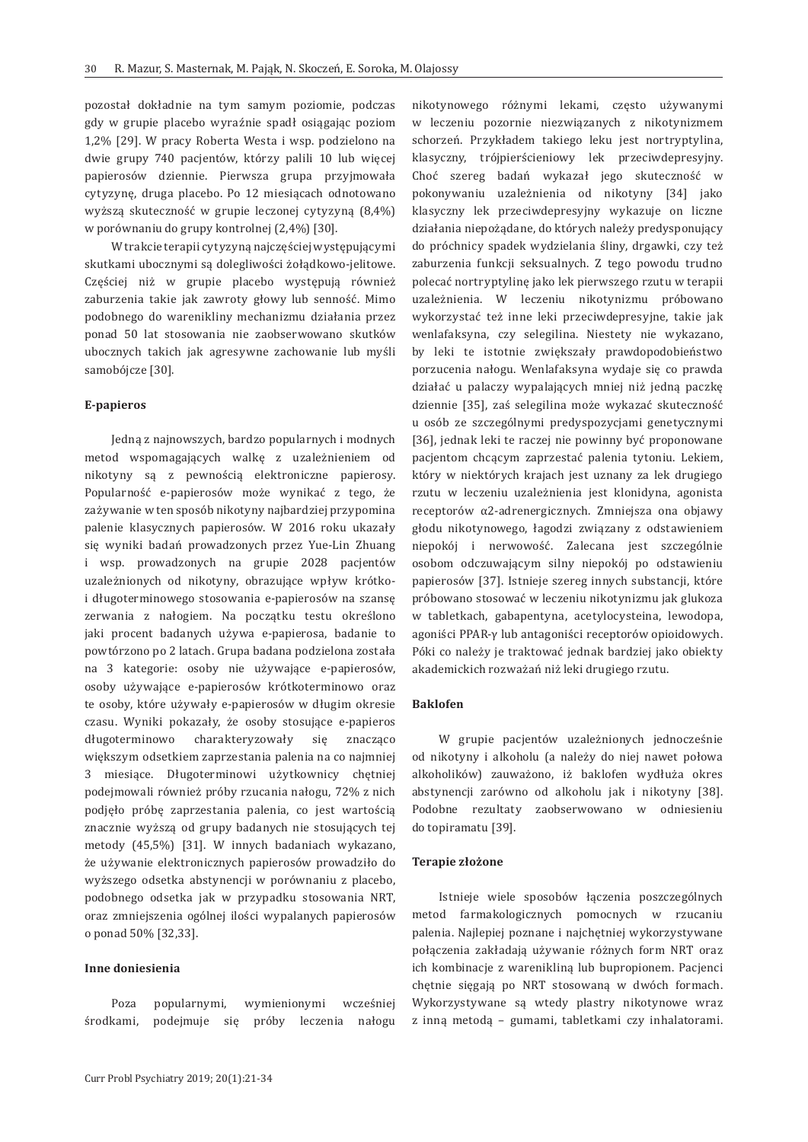pozostał dokładnie na tym samym poziomie, podczas gdy w grupie placebo wyraźnie spadł osiągając poziom 1,2% [29]. W pracy Roberta Westa i wsp. podzielono na dwie grupy 740 pacjentów, którzy palili 10 lub więcej papierosów dziennie. Pierwsza grupa przyjmowała cytyzynę, druga placebo. Po 12 miesiącach odnotowano wyższą skuteczność w grupie leczonej cytyzyną (8,4%) w porównaniu do grupy kontrolnej (2,4%) [30].

W trakcie terapii cytyzyną najczęściej występującymi skutkami ubocznymi są dolegliwości żołądkowo-jelitowe. Częściej niż w grupie placebo występują również zaburzenia takie jak zawroty głowy lub senność. Mimo podobnego do warenikliny mechanizmu działania przez ponad 50 lat stosowania nie zaobserwowano skutków ubocznych takich jak agresywne zachowanie lub myśli samobójcze [30].

#### **E-papieros**

Jedną z najnowszych, bardzo popularnych i modnych metod wspomagających walkę z uzależnieniem od nikotyny są z pewnością elektroniczne papierosy. Popularność e-papierosów może wynikać z tego, że zażywanie w ten sposób nikotyny najbardziej przypomina palenie klasycznych papierosów. W 2016 roku ukazały się wyniki badań prowadzonych przez Yue-Lin Zhuang i wsp. prowadzonych na grupie 2028 pacjentów uzależnionych od nikotyny, obrazujące wpływ krótkoi długoterminowego stosowania e-papierosów na szansę zerwania z nałogiem. Na początku testu określono jaki procent badanych używa e-papierosa, badanie to powtórzono po 2 latach. Grupa badana podzielona została na 3 kategorie: osoby nie używające e-papierosów, osoby używające e-papierosów krótkoterminowo oraz te osoby, które używały e-papierosów w długim okresie czasu. Wyniki pokazały, że osoby stosujące e-papieros długoterminowo charakteryzowały się znacząco większym odsetkiem zaprzestania palenia na co najmniej 3 miesiące. Długoterminowi użytkownicy chętniej podejmowali również próby rzucania nałogu, 72% z nich podjęło próbę zaprzestania palenia, co jest wartością znacznie wyższą od grupy badanych nie stosujących tej metody (45,5%) [31]. W innych badaniach wykazano, że używanie elektronicznych papierosów prowadziło do wyższego odsetka abstynencji w porównaniu z placebo, podobnego odsetka jak w przypadku stosowania NRT, oraz zmniejszenia ogólnej ilości wypalanych papierosów o ponad 50% [32,33].

## **Inne doniesienia**

Poza popularnymi, wymienionymi wcześniej środkami, podejmuje się próby leczenia nałogu nikotynowego różnymi lekami, często używanymi w leczeniu pozornie niezwiązanych z nikotynizmem schorzeń. Przykładem takiego leku jest nortryptylina, klasyczny, trójpierścieniowy lek przeciwdepresyjny. Choć szereg badań wykazał jego skuteczność w pokonywaniu uzależnienia od nikotyny [34] jako klasyczny lek przeciwdepresyjny wykazuje on liczne działania niepożądane, do których należy predysponujący do próchnicy spadek wydzielania śliny, drgawki, czy też zaburzenia funkcji seksualnych. Z tego powodu trudno polecać nortryptylinę jako lek pierwszego rzutu w terapii uzależnienia. W leczeniu nikotynizmu próbowano wykorzystać też inne leki przeciwdepresyjne, takie jak wenlafaksyna, czy selegilina. Niestety nie wykazano, by leki te istotnie zwiększały prawdopodobieństwo porzucenia nałogu. Wenlafaksyna wydaje się co prawda działać u palaczy wypalających mniej niż jedną paczkę dziennie [35], zaś selegilina może wykazać skuteczność u osób ze szczególnymi predyspozycjami genetycznymi [36], jednak leki te raczej nie powinny być proponowane pacjentom chcącym zaprzestać palenia tytoniu. Lekiem, który w niektórych krajach jest uznany za lek drugiego rzutu w leczeniu uzależnienia jest klonidyna, agonista receptorów α2-adrenergicznych. Zmniejsza ona objawy głodu nikotynowego, łagodzi związany z odstawieniem niepokój i nerwowość. Zalecana jest szczególnie osobom odczuwającym silny niepokój po odstawieniu papierosów [37]. Istnieje szereg innych substancji, które próbowano stosować w leczeniu nikotynizmu jak glukoza w tabletkach, gabapentyna, acetylocysteina, lewodopa, agoniści PPAR-γ lub antagoniści receptorów opioidowych. Póki co należy je traktować jednak bardziej jako obiekty akademickich rozważań niż leki drugiego rzutu.

# **Baklofen**

W grupie pacjentów uzależnionych jednocześnie od nikotyny i alkoholu (a należy do niej nawet połowa alkoholików) zauważono, iż baklofen wydłuża okres abstynencji zarówno od alkoholu jak i nikotyny [38]. Podobne rezultaty zaobserwowano w odniesieniu do topiramatu [39].

#### **Terapie złożone**

Istnieje wiele sposobów łączenia poszczególnych metod farmakologicznych pomocnych w rzucaniu palenia. Najlepiej poznane i najchętniej wykorzystywane połączenia zakładają używanie różnych form NRT oraz ich kombinacje z warenikliną lub bupropionem. Pacjenci chętnie sięgają po NRT stosowaną w dwóch formach. Wykorzystywane są wtedy plastry nikotynowe wraz z inną metodą – gumami, tabletkami czy inhalatorami.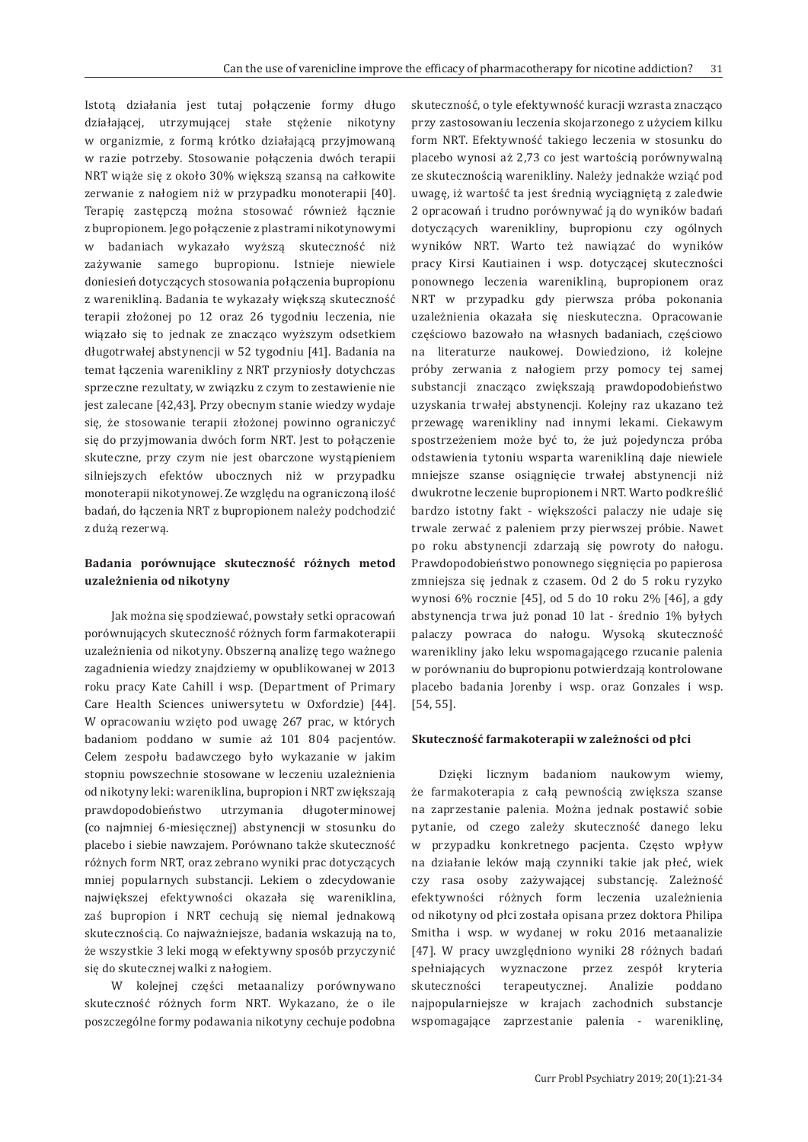Istotą działania jest tutaj połączenie formy długo działającej, utrzymującej stałe stężenie nikotyny w organizmie, z formą krótko działającą przyjmowaną w razie potrzeby. Stosowanie połączenia dwóch terapii NRT wiąże się z około 30% większą szansą na całkowite zerwanie z nałogiem niż w przypadku monoterapii [40]. Terapię zastępczą można stosować również łącznie z bupropionem. Jego połączenie z plastrami nikotynowymi w badaniach wykazało wyższą skuteczność niż zażywanie samego bupropionu. Istnieje niewiele doniesień dotyczących stosowania połączenia bupropionu z warenikliną. Badania te wykazały większą skuteczność terapii złożonej po 12 oraz 26 tygodniu leczenia, nie wiązało się to jednak ze znacząco wyższym odsetkiem długotrwałej abstynencji w 52 tygodniu [41]. Badania na temat łączenia warenikliny z NRT przyniosły dotychczas sprzeczne rezultaty, w związku z czym to zestawienie nie jest zalecane [42,43]. Przy obecnym stanie wiedzy wydaje się, że stosowanie terapii złożonej powinno ograniczyć się do przyjmowania dwóch form NRT. Jest to połączenie skuteczne, przy czym nie jest obarczone wystąpieniem silniejszych efektów ubocznych niż w przypadku monoterapii nikotynowej. Ze względu na ograniczoną ilość badań, do łączenia NRT z bupropionem należy podchodzić z dużą rezerwą.

# **Badania porównujące skuteczność różnych metod uzależnienia od nikotyny**

Jak można się spodziewać, powstały setki opracowań porównujących skuteczność różnych form farmakoterapii uzależnienia od nikotyny. Obszerną analizę tego ważnego zagadnienia wiedzy znajdziemy w opublikowanej w 2013 roku pracy Kate Cahill i wsp. (Department of Primary Care Health Sciences uniwersytetu w Oxfordzie) [44]. W opracowaniu wzięto pod uwagę 267 prac, w których badaniom poddano w sumie aż 101 804 pacjentów. Celem zespołu badawczego było wykazanie w jakim stopniu powszechnie stosowane w leczeniu uzależnienia od nikotyny leki: wareniklina, bupropion i NRT zwiększają prawdopodobieństwo utrzymania długoterminowej (co najmniej 6-miesięcznej) abstynencji w stosunku do placebo i siebie nawzajem. Porównano także skuteczność różnych form NRT, oraz zebrano wyniki prac dotyczących mniej popularnych substancji. Lekiem o zdecydowanie największej efektywności okazała się wareniklina, zaś bupropion i NRT cechują się niemal jednakową skutecznością. Co najważniejsze, badania wskazują na to, że wszystkie 3 leki mogą w efektywny sposób przyczynić się do skutecznej walki z nałogiem.

W kolejnej części metaanalizy porównywano skuteczność różnych form NRT. Wykazano, że o ile poszczególne formy podawania nikotyny cechuje podobna

skuteczność, o tyle efektywność kuracji wzrasta znacząco przy zastosowaniu leczenia skojarzonego z użyciem kilku form NRT. Efektywność takiego leczenia w stosunku do placebo wynosi aż 2,73 co jest wartością porównywalną ze skutecznością warenikliny. Należy jednakże wziąć pod uwagę, iż wartość ta jest średnią wyciągniętą z zaledwie 2 opracowań i trudno porównywać ją do wyników badań dotyczących warenikliny, bupropionu czy ogólnych wyników NRT. Warto też nawiązać do wyników pracy Kirsi Kautiainen i wsp. dotyczącej skuteczności ponownego leczenia warenikliną, bupropionem oraz NRT w przypadku gdy pierwsza próba pokonania uzależnienia okazała się nieskuteczna. Opracowanie częściowo bazowało na własnych badaniach, częściowo na literaturze naukowej. Dowiedziono, iż kolejne próby zerwania z nałogiem przy pomocy tej samej substancji znacząco zwiększają prawdopodobieństwo uzyskania trwałej abstynencji. Kolejny raz ukazano też przewagę warenikliny nad innymi lekami. Ciekawym spostrzeżeniem może być to, że już pojedyncza próba odstawienia tytoniu wsparta warenikliną daje niewiele mniejsze szanse osiągnięcie trwałej abstynencji niż dwukrotne leczenie bupropionem i NRT. Warto podkreślić bardzo istotny fakt - większości palaczy nie udaje się trwale zerwać z paleniem przy pierwszej próbie. Nawet po roku abstynencji zdarzają się powroty do nałogu. Prawdopodobieństwo ponownego sięgnięcia po papierosa zmniejsza się jednak z czasem. Od 2 do 5 roku ryzyko wynosi 6% rocznie [45], od 5 do 10 roku 2% [46], a gdy abstynencja trwa już ponad 10 lat - średnio 1% byłych palaczy powraca do nałogu. Wysoką skuteczność warenikliny jako leku wspomagającego rzucanie palenia w porównaniu do bupropionu potwierdzają kontrolowane placebo badania Jorenby i wsp. oraz Gonzales i wsp. [54, 55].

#### **Skuteczność farmakoterapii w zależności od płci**

Dzięki licznym badaniom naukowym wiemy, że farmakoterapia z całą pewnością zwiększa szanse na zaprzestanie palenia. Można jednak postawić sobie pytanie, od czego zależy skuteczność danego leku w przypadku konkretnego pacjenta. Często wpływ na działanie leków mają czynniki takie jak płeć, wiek czy rasa osoby zażywającej substancję. Zależność efektywności różnych form leczenia uzależnienia od nikotyny od płci została opisana przez doktora Philipa Smitha i wsp. w wydanej w roku 2016 metaanalizie [47]. W pracy uwzględniono wyniki 28 różnych badań spełniających wyznaczone przez zespół kryteria skuteczności terapeutycznej. Analizie poddano najpopularniejsze w krajach zachodnich substancje wspomagające zaprzestanie palenia - wareniklinę,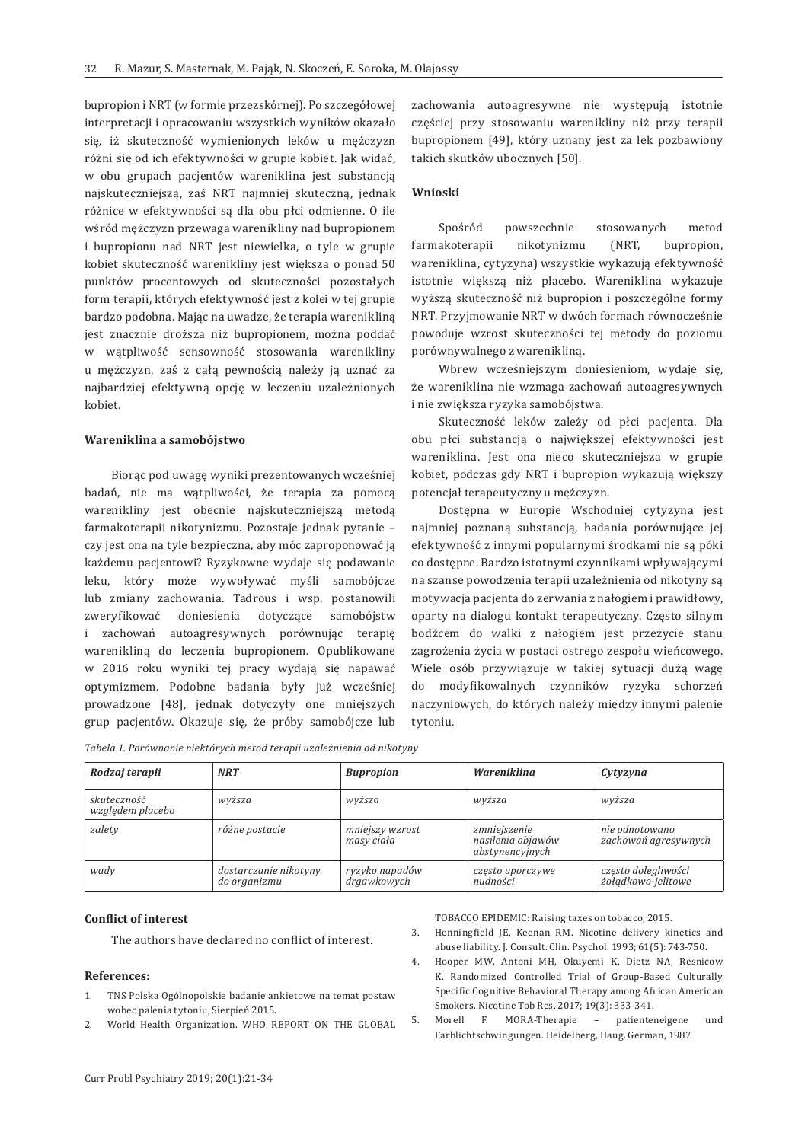bupropion i NRT (w formie przezskórnej). Po szczegółowej interpretacji i opracowaniu wszystkich wyników okazało się, iż skuteczność wymienionych leków u mężczyzn różni się od ich efektywności w grupie kobiet. Jak widać, w obu grupach pacjentów wareniklina jest substancją najskuteczniejszą, zaś NRT najmniej skuteczną, jednak różnice w efektywności są dla obu płci odmienne. O ile wśród mężczyzn przewaga warenikliny nad bupropionem i bupropionu nad NRT jest niewielka, o tyle w grupie kobiet skuteczność warenikliny jest większa o ponad 50 punktów procentowych od skuteczności pozostałych form terapii, których efektywność jest z kolei w tej grupie bardzo podobna. Mając na uwadze, że terapia warenikliną jest znacznie droższa niż bupropionem, można poddać w wątpliwość sensowność stosowania warenikliny u mężczyzn, zaś z całą pewnością należy ją uznać za najbardziej efektywną opcję w leczeniu uzależnionych kobiet.

#### **Wareniklina a samobójstwo**

Biorąc pod uwagę wyniki prezentowanych wcześniej badań, nie ma wątpliwości, że terapia za pomocą warenikliny jest obecnie najskuteczniejszą metodą farmakoterapii nikotynizmu. Pozostaje jednak pytanie – czy jest ona na tyle bezpieczna, aby móc zaproponować ją każdemu pacjentowi? Ryzykowne wydaje się podawanie leku, który może wywoływać myśli samobójcze lub zmiany zachowania. Tadrous i wsp. postanowili zweryfikować doniesienia dotyczące samobójstw i zachowań autoagresywnych porównując terapię warenikliną do leczenia bupropionem. Opublikowane w 2016 roku wyniki tej pracy wydają się napawać optymizmem. Podobne badania były już wcześniej prowadzone [48], jednak dotyczyły one mniejszych grup pacjentów. Okazuje się, że próby samobójcze lub

zachowania autoagresywne nie występują istotnie częściej przy stosowaniu warenikliny niż przy terapii bupropionem [49], który uznany jest za lek pozbawiony takich skutków ubocznych [50].

#### **Wnioski**

Spośród powszechnie stosowanych metod farmakoterapii nikotynizmu (NRT, bupropion, wareniklina, cytyzyna) wszystkie wykazują efektywność istotnie większą niż placebo. Wareniklina wykazuje wyższą skuteczność niż bupropion i poszczególne formy NRT. Przyjmowanie NRT w dwóch formach równocześnie powoduje wzrost skuteczności tej metody do poziomu porównywalnego z warenikliną.

Wbrew wcześniejszym doniesieniom, wydaje się, że wareniklina nie wzmaga zachowań autoagresywnych i nie zwiększa ryzyka samobójstwa.

Skuteczność leków zależy od płci pacjenta. Dla obu płci substancją o największej efektywności jest wareniklina. Jest ona nieco skuteczniejsza w grupie kobiet, podczas gdy NRT i bupropion wykazują większy potencjał terapeutyczny u mężczyzn.

Dostępna w Europie Wschodniej cytyzyna jest najmniej poznaną substancją, badania porównujące jej efektywność z innymi popularnymi środkami nie są póki co dostępne. Bardzo istotnymi czynnikami wpływającymi na szanse powodzenia terapii uzależnienia od nikotyny są motywacja pacjenta do zerwania z nałogiem i prawidłowy, oparty na dialogu kontakt terapeutyczny. Często silnym bodźcem do walki z nałogiem jest przeżycie stanu zagrożenia życia w postaci ostrego zespołu wieńcowego. Wiele osób przywiązuje w takiej sytuacji dużą wagę do modyfikowalnych czynników ryzyka schorzeń naczyniowych, do których należy między innymi palenie tytoniu.

|  |  | Tabela 1. Porównanie niektórych metod terapii uzależnienia od nikotyny |
|--|--|------------------------------------------------------------------------|
|  |  |                                                                        |

| Rodzaj terapii                  | <b>NRT</b>                            | <b>Bupropion</b>              | Wareniklina                                          | Cytyzyna                                  |
|---------------------------------|---------------------------------------|-------------------------------|------------------------------------------------------|-------------------------------------------|
| skuteczność<br>względem placebo | wyższa                                | wyższa                        | wyższa                                               | wyższa                                    |
| zalety                          | różne postacie                        | mniejszy wzrost<br>masy ciała | zmniejszenie<br>nasilenia objawów<br>abstynencyjnych | nie odnotowano<br>zachowań agresywnych    |
| wady                            | dostarczanie nikotyny<br>do organizmu | ryzyko napadów<br>drgawkowych | często uporczywe<br>nudności                         | często dolegliwości<br>żoładkowo-jelitowe |

### **Conflict of interest**

The authors have declared no conflict of interest.

#### **References:**

- 1. TNS Polska Ogólnopolskie badanie ankietowe na temat postaw wobec palenia tytoniu, Sierpień 2015.
- 2. World Health Organization. WHO REPORT ON THE GLOBAL

TOBACCO EPIDEMIC: Raising taxes on tobacco, 2015.

- 3. Henningfield JE, Keenan RM. Nicotine delivery kinetics and abuse liability. J. Consult. Clin. Psychol. 1993; 61(5): 743-750.
- 4. Hooper MW, Antoni MH, Okuyemi K, Dietz NA, Resnicow K. Randomized Controlled Trial of Group-Based Culturally Specific Cognitive Behavioral Therapy among African American Smokers. Nicotine Tob Res. 2017; 19(3): 333-341.
- 5. Morell F. MORA-Therapie patienteneigene und Farblichtschwingungen. Heidelberg, Haug. German, 1987.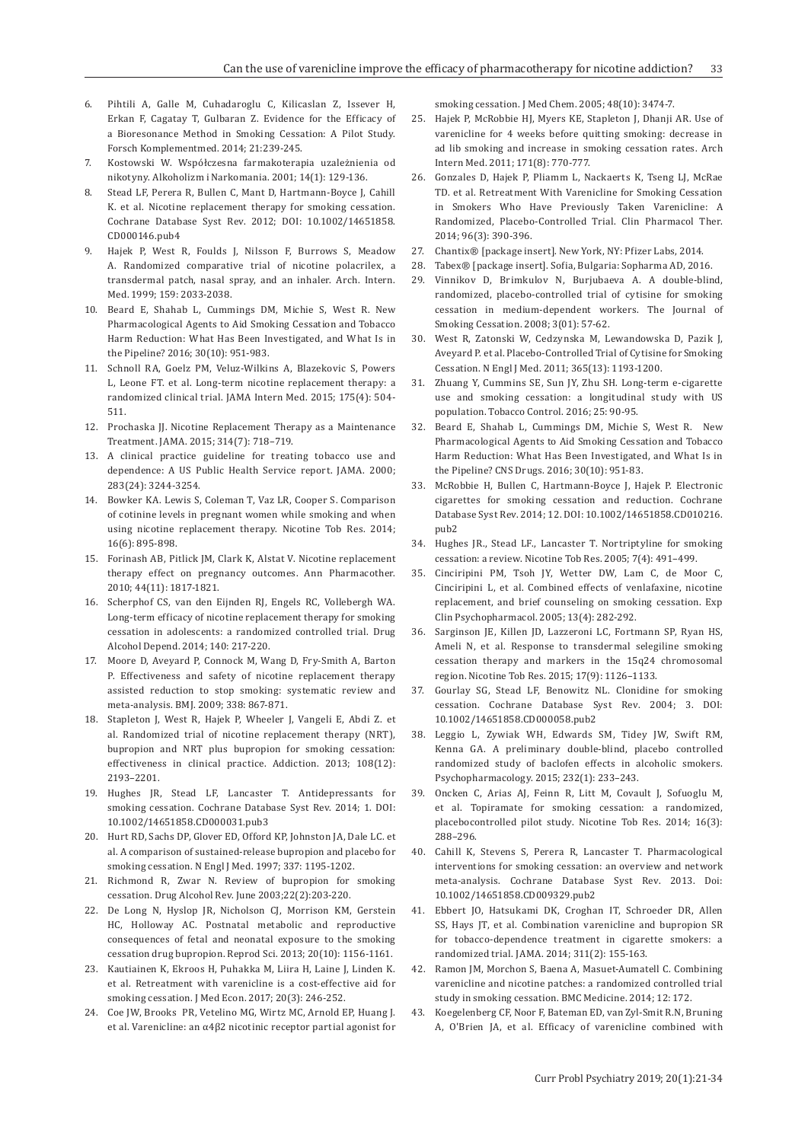- 6. Pihtili A, Galle M, Cuhadaroglu C, Kilicaslan Z, Issever H, Erkan F, Cagatay T, Gulbaran Z. Evidence for the Efficacy of a Bioresonance Method in Smoking Cessation: A Pilot Study. Forsch Komplementmed. 2014; 21:239-245.
- 7. Kostowski W. Współczesna farmakoterapia uzależnienia od nikotyny. Alkoholizm i Narkomania. 2001; 14(1): 129-136.
- 8. Stead LF, Perera R, Bullen C, Mant D, Hartmann-Boyce J, Cahill K. et al. Nicotine replacement therapy for smoking cessation. Cochrane Database Syst Rev. 2012; DOI: 10.1002/14651858. CD000146.pub4
- 9. Hajek P, West R, Foulds J, Nilsson F, Burrows S, Meadow A. Randomized comparative trial of nicotine polacrilex, a transdermal patch, nasal spray, and an inhaler. Arch. Intern. Med. 1999; 159: 2033-2038.
- 10. Beard E, Shahab L, Cummings DM, Michie S, West R. New Pharmacological Agents to Aid Smoking Cessation and Tobacco Harm Reduction: What Has Been Investigated, and What Is in the Pipeline? 2016; 30(10): 951-983.
- 11. Schnoll RA, Goelz PM, Veluz-Wilkins A, Blazekovic S, Powers L, Leone FT. et al. Long-term nicotine replacement therapy: a randomized clinical trial. JAMA Intern Med. 2015; 175(4): 504- 511.
- 12. Prochaska JJ. Nicotine Replacement Therapy as a Maintenance Treatment. JAMA. 2015; 314(7): 718–719.
- 13. A clinical practice guideline for treating tobacco use and dependence: A US Public Health Service report. JAMA. 2000; 283(24): 3244-3254.
- 14. Bowker KA. Lewis S, Coleman T, Vaz LR, Cooper S. Comparison of cotinine levels in pregnant women while smoking and when using nicotine replacement therapy. Nicotine Tob Res. 2014; 16(6): 895-898.
- 15. Forinash AB, Pitlick JM, Clark K, Alstat V. Nicotine replacement therapy effect on pregnancy outcomes. Ann Pharmacother. 2010; 44(11): 1817-1821.
- 16. Scherphof CS, van den Eijnden RJ, Engels RC, Vollebergh WA. Long-term efficacy of nicotine replacement therapy for smoking cessation in adolescents: a randomized controlled trial. Drug Alcohol Depend. 2014; 140: 217-220.
- 17. Moore D, Aveyard P, Connock M, Wang D, Fry-Smith A, Barton P. Effectiveness and safety of nicotine replacement therapy assisted reduction to stop smoking: systematic review and meta-analysis. BMJ. 2009; 338: 867-871.
- 18. Stapleton J, West R, Hajek P, Wheeler J, Vangeli E, Abdi Z. et al. Randomized trial of nicotine replacement therapy (NRT), bupropion and NRT plus bupropion for smoking cessation: effectiveness in clinical practice. Addiction. 2013; 108(12): 2193–2201.
- 19. Hughes JR, Stead LF, Lancaster T. Antidepressants for smoking cessation. Cochrane Database Syst Rev. 2014; 1. DOI: 10.1002/14651858.CD000031.pub3
- 20. Hurt RD, Sachs DP, Glover ED, Offord KP, Johnston JA, Dale LC. et al. A comparison of sustained-release bupropion and placebo for smoking cessation. N Engl J Med. 1997; 337: 1195-1202.
- 21. Richmond R, Zwar N. Review of bupropion for smoking cessation. Drug Alcohol Rev. June 2003;22(2):203-220.
- 22. De Long N, Hyslop JR, Nicholson CJ, Morrison KM, Gerstein HC, Holloway AC. Postnatal metabolic and reproductive consequences of fetal and neonatal exposure to the smoking cessation drug bupropion. Reprod Sci. 2013; 20(10): 1156-1161.
- 23. Kautiainen K, Ekroos H, Puhakka M, Liira H, Laine J, Linden K. et al. Retreatment with varenicline is a cost-effective aid for smoking cessation. J Med Econ. 2017; 20(3): 246-252.
- 24. Coe JW, Brooks PR, Vetelino MG, Wirtz MC, Arnold EP, Huang J. et al. Varenicline: an α4β2 nicotinic receptor partial agonist for

smoking cessation. J Med Chem. 2005; 48(10): 3474-7.

- 25. Hajek P, McRobbie HJ, Myers KE, Stapleton J, Dhanji AR. Use of varenicline for 4 weeks before quitting smoking: decrease in ad lib smoking and increase in smoking cessation rates. Arch Intern Med. 2011; 171(8): 770-777.
- 26. Gonzales D, Hajek P, Pliamm L, Nackaerts K, Tseng LJ, McRae TD. et al. Retreatment With Varenicline for Smoking Cessation in Smokers Who Have Previously Taken Varenicline: A Randomized, Placebo-Controlled Trial. Clin Pharmacol Ther. 2014; 96(3): 390-396.
- 27. Chantix® [package insert]. New York, NY: Pfizer Labs, 2014.
- 28. Tabex® [package insert]. Sofia, Bulgaria: Sopharma AD, 2016.
- 29. Vinnikov D, Brimkulov N, Burjubaeva A. A double-blind, randomized, placebo-controlled trial of cytisine for smoking cessation in medium-dependent workers. The Journal of Smoking Cessation. 2008; 3(01): 57-62.
- 30. West R, Zatonski W, Cedzynska M, Lewandowska D, Pazik J, Aveyard P. et al. Placebo-Controlled Trial of Cytisine for Smoking Cessation. N Engl J Med. 2011; 365(13): 1193-1200.
- 31. Zhuang Y, Cummins SE, Sun JY, Zhu SH. Long-term e-cigarette use and smoking cessation: a longitudinal study with US population. Tobacco Control. 2016; 25: 90-95.
- 32. Beard E, Shahab L, Cummings DM, Michie S, West R. New Pharmacological Agents to Aid Smoking Cessation and Tobacco Harm Reduction: What Has Been Investigated, and What Is in the Pipeline? CNS Drugs. 2016; 30(10): 951-83.
- 33. McRobbie H, Bullen C, Hartmann-Boyce J, Hajek P. Electronic cigarettes for smoking cessation and reduction. Cochrane Database Syst Rev. 2014; 12. DOI: 10.1002/14651858.CD010216. pub2
- 34. Hughes JR., Stead LF., Lancaster T. Nortriptyline for smoking cessation: a review. Nicotine Tob Res. 2005; 7(4): 491–499.
- 35. Cinciripini PM, Tsoh JY, Wetter DW, Lam C, de Moor C, Cinciripini L, et al. Combined effects of venlafaxine, nicotine replacement, and brief counseling on smoking cessation. Exp Clin Psychopharmacol. 2005; 13(4): 282-292.
- 36. Sarginson JE, Killen JD, Lazzeroni LC, Fortmann SP, Ryan HS, Ameli N, et al. Response to transdermal selegiline smoking cessation therapy and markers in the 15q24 chromosomal region. Nicotine Tob Res. 2015; 17(9): 1126–1133.
- 37. Gourlay SG, Stead LF, Benowitz NL. Clonidine for smoking cessation. Cochrane Database Syst Rev. 2004; 3. DOI: 10.1002/14651858.CD000058.pub2
- 38. Leggio L, Zywiak WH, Edwards SM, Tidey JW, Swift RM, Kenna GA. A preliminary double-blind, placebo controlled randomized study of baclofen effects in alcoholic smokers. Psychopharmacology. 2015; 232(1): 233–243.
- 39. Oncken C, Arias AJ, Feinn R, Litt M, Covault J, Sofuoglu M, et al. Topiramate for smoking cessation: a randomized, placebocontrolled pilot study. Nicotine Tob Res. 2014; 16(3): 288–296.
- 40. Cahill K, Stevens S, Perera R, Lancaster T. Pharmacological interventions for smoking cessation: an overview and network meta-analysis. Cochrane Database Syst Rev. 2013. Doi: 10.1002/14651858.CD009329.pub2
- 41. Ebbert JO, Hatsukami DK, Croghan IT, Schroeder DR, Allen SS, Hays JT, et al. Combination varenicline and bupropion SR for tobacco-dependence treatment in cigarette smokers: a randomized trial. JAMA. 2014; 311(2): 155-163.
- 42. Ramon JM, Morchon S, Baena A, Masuet-Aumatell C. Combining varenicline and nicotine patches: a randomized controlled trial study in smoking cessation. BMC Medicine. 2014; 12: 172.
- 43. Koegelenberg CF, Noor F, Bateman ED, van Zyl-Smit R.N, Bruning A, O'Brien JA, et al. Efficacy of varenicline combined with